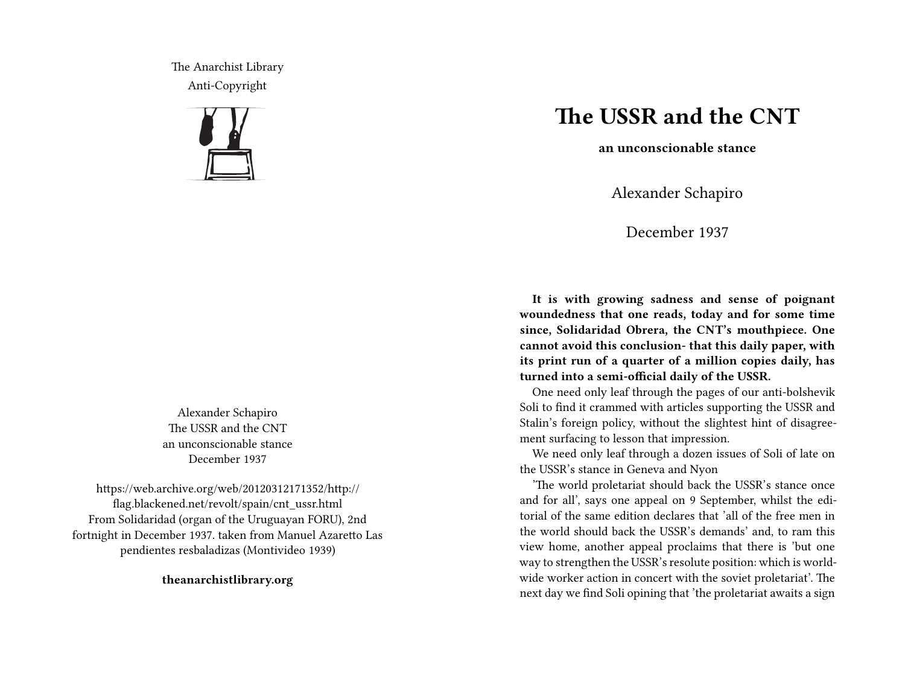The Anarchist Library Anti-Copyright



Alexander Schapiro The USSR and the CNT an unconscionable stance December 1937

https://web.archive.org/web/20120312171352/http:// flag.blackened.net/revolt/spain/cnt\_ussr.html From Solidaridad (organ of the Uruguayan FORU), 2nd fortnight in December 1937. taken from Manuel Azaretto Las pendientes resbaladizas (Montivideo 1939)

**theanarchistlibrary.org**

## **The USSR and the CNT**

**an unconscionable stance**

Alexander Schapiro

December 1937

**It is with growing sadness and sense of poignant woundedness that one reads, today and for some time since, Solidaridad Obrera, the CNT's mouthpiece. One cannot avoid this conclusion- that this daily paper, with its print run of a quarter of a million copies daily, has turned into a semi-official daily of the USSR.**

One need only leaf through the pages of our anti-bolshevik Soli to find it crammed with articles supporting the USSR and Stalin's foreign policy, without the slightest hint of disagreement surfacing to lesson that impression.

We need only leaf through a dozen issues of Soli of late on the USSR's stance in Geneva and Nyon

'The world proletariat should back the USSR's stance once and for all', says one appeal on 9 September, whilst the editorial of the same edition declares that 'all of the free men in the world should back the USSR's demands' and, to ram this view home, another appeal proclaims that there is 'but one way to strengthen the USSR's resolute position: which is worldwide worker action in concert with the soviet proletariat'. The next day we find Soli opining that 'the proletariat awaits a sign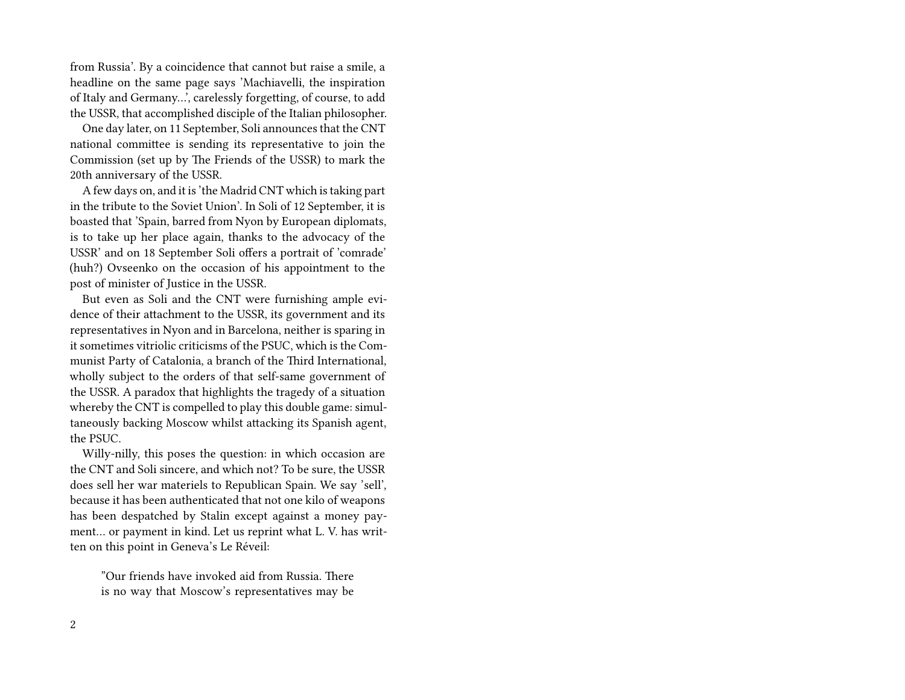from Russia'. By a coincidence that cannot but raise a smile, a headline on the same page says 'Machiavelli, the inspiration of Italy and Germany…', carelessly forgetting, of course, to add the USSR, that accomplished disciple of the Italian philosopher.

One day later, on 11 September, Soli announces that the CNT national committee is sending its representative to join the Commission (set up by The Friends of the USSR) to mark the 20th anniversary of the USSR.

A few days on, and it is 'the Madrid CNT which is taking part in the tribute to the Soviet Union'. In Soli of 12 September, it is boasted that 'Spain, barred from Nyon by European diplomats, is to take up her place again, thanks to the advocacy of the USSR' and on 18 September Soli offers a portrait of 'comrade' (huh?) Ovseenko on the occasion of his appointment to the post of minister of Justice in the USSR.

But even as Soli and the CNT were furnishing ample evidence of their attachment to the USSR, its government and its representatives in Nyon and in Barcelona, neither is sparing in it sometimes vitriolic criticisms of the PSUC, which is the Communist Party of Catalonia, a branch of the Third International, wholly subject to the orders of that self-same government of the USSR. A paradox that highlights the tragedy of a situation whereby the CNT is compelled to play this double game: simultaneously backing Moscow whilst attacking its Spanish agent, the PSUC.

Willy-nilly, this poses the question: in which occasion are the CNT and Soli sincere, and which not? To be sure, the USSR does sell her war materiels to Republican Spain. We say 'sell', because it has been authenticated that not one kilo of weapons has been despatched by Stalin except against a money payment… or payment in kind. Let us reprint what L. V. has written on this point in Geneva's Le Réveil:

"Our friends have invoked aid from Russia. There is no way that Moscow's representatives may be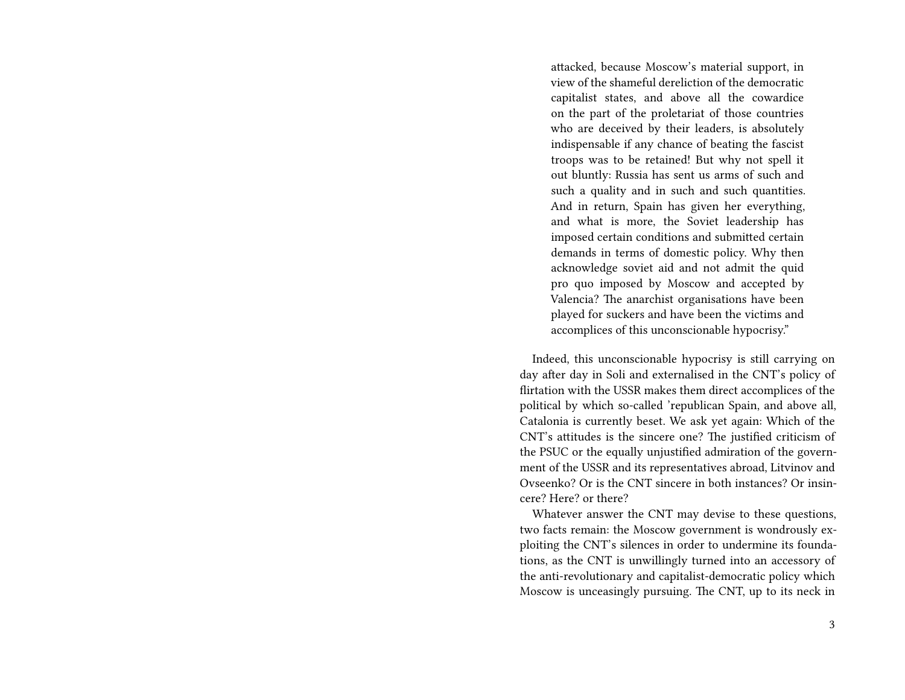attacked, because Moscow's material support, in view of the shameful dereliction of the democratic capitalist states, and above all the cowardice on the part of the proletariat of those countries who are deceived by their leaders, is absolutely indispensable if any chance of beating the fascist troops was to be retained! But why not spell it out bluntly: Russia has sent us arms of such and such a quality and in such and such quantities. And in return, Spain has given her everything, and what is more, the Soviet leadership has imposed certain conditions and submitted certain demands in terms of domestic policy. Why then acknowledge soviet aid and not admit the quid pro quo imposed by Moscow and accepted by Valencia? The anarchist organisations have been played for suckers and have been the victims and accomplices of this unconscionable hypocrisy."

Indeed, this unconscionable hypocrisy is still carrying on day after day in Soli and externalised in the CNT's policy of flirtation with the USSR makes them direct accomplices of the political by which so-called 'republican Spain, and above all, Catalonia is currently beset. We ask yet again: Which of the CNT's attitudes is the sincere one? The justified criticism of the PSUC or the equally unjustified admiration of the government of the USSR and its representatives abroad, Litvinov and Ovseenko? Or is the CNT sincere in both instances? Or insincere? Here? or there?

Whatever answer the CNT may devise to these questions, two facts remain: the Moscow government is wondrously exploiting the CNT's silences in order to undermine its foundations, as the CNT is unwillingly turned into an accessory of the anti-revolutionary and capitalist-democratic policy which Moscow is unceasingly pursuing. The CNT, up to its neck in